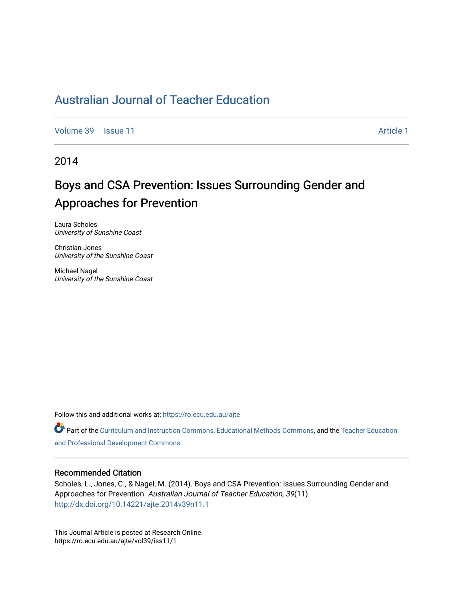## [Australian Journal of Teacher Education](https://ro.ecu.edu.au/ajte)

[Volume 39](https://ro.ecu.edu.au/ajte/vol39) | [Issue 11](https://ro.ecu.edu.au/ajte/vol39/iss11) Article 1

2014

# Boys and CSA Prevention: Issues Surrounding Gender and Approaches for Prevention

Laura Scholes University of Sunshine Coast

Christian Jones University of the Sunshine Coast

Michael Nagel University of the Sunshine Coast

Follow this and additional works at: [https://ro.ecu.edu.au/ajte](https://ro.ecu.edu.au/ajte?utm_source=ro.ecu.edu.au%2Fajte%2Fvol39%2Fiss11%2F1&utm_medium=PDF&utm_campaign=PDFCoverPages) 

Part of the [Curriculum and Instruction Commons,](http://network.bepress.com/hgg/discipline/786?utm_source=ro.ecu.edu.au%2Fajte%2Fvol39%2Fiss11%2F1&utm_medium=PDF&utm_campaign=PDFCoverPages) [Educational Methods Commons](http://network.bepress.com/hgg/discipline/1227?utm_source=ro.ecu.edu.au%2Fajte%2Fvol39%2Fiss11%2F1&utm_medium=PDF&utm_campaign=PDFCoverPages), and the [Teacher Education](http://network.bepress.com/hgg/discipline/803?utm_source=ro.ecu.edu.au%2Fajte%2Fvol39%2Fiss11%2F1&utm_medium=PDF&utm_campaign=PDFCoverPages) [and Professional Development Commons](http://network.bepress.com/hgg/discipline/803?utm_source=ro.ecu.edu.au%2Fajte%2Fvol39%2Fiss11%2F1&utm_medium=PDF&utm_campaign=PDFCoverPages) 

### Recommended Citation

Scholes, L., Jones, C., & Nagel, M. (2014). Boys and CSA Prevention: Issues Surrounding Gender and Approaches for Prevention. Australian Journal of Teacher Education, 39(11). <http://dx.doi.org/10.14221/ajte.2014v39n11.1>

This Journal Article is posted at Research Online. https://ro.ecu.edu.au/ajte/vol39/iss11/1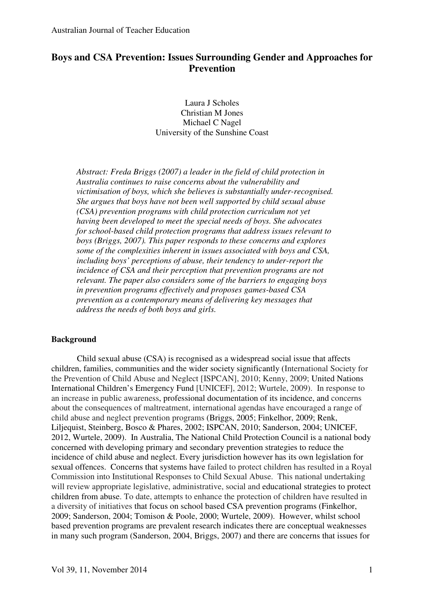### **Boys and CSA Prevention: Issues Surrounding Gender and Approaches for Prevention**

Laura J Scholes Christian M Jones Michael C Nagel University of the Sunshine Coast

*Abstract: Freda Briggs (2007) a leader in the field of child protection in Australia continues to raise concerns about the vulnerability and victimisation of boys, which she believes is substantially under-recognised. She argues that boys have not been well supported by child sexual abuse (CSA) prevention programs with child protection curriculum not yet having been developed to meet the special needs of boys. She advocates for school-based child protection programs that address issues relevant to boys (Briggs, 2007). This paper responds to these concerns and explores some of the complexities inherent in issues associated with boys and CSA, including boys' perceptions of abuse, their tendency to under-report the incidence of CSA and their perception that prevention programs are not relevant. The paper also considers some of the barriers to engaging boys in prevention programs effectively and proposes games-based CSA prevention as a contemporary means of delivering key messages that address the needs of both boys and girls.* 

### **Background**

 Child sexual abuse (CSA) is recognised as a widespread social issue that affects children, families, communities and the wider society significantly (International Society for the Prevention of Child Abuse and Neglect [ISPCAN], 2010; Kenny, 2009; United Nations International Children's Emergency Fund [UNICEF], 2012; Wurtele, 2009). In response to an increase in public awareness, professional documentation of its incidence, and concerns about the consequences of maltreatment, international agendas have encouraged a range of child abuse and neglect prevention programs (Briggs, 2005; Finkelhor, 2009; Renk, Liljequist, Steinberg, Bosco & Phares, 2002; ISPCAN, 2010; Sanderson, 2004; UNICEF, 2012, Wurtele, 2009). In Australia, The National Child Protection Council is a national body concerned with developing primary and secondary prevention strategies to reduce the incidence of child abuse and neglect. Every jurisdiction however has its own legislation for sexual offences. Concerns that systems have failed to protect children has resulted in a Royal Commission into Institutional Responses to Child Sexual Abuse. This national undertaking will review appropriate legislative, administrative, social and educational strategies to protect children from abuse. To date, attempts to enhance the protection of children have resulted in a diversity of initiatives that focus on school based CSA prevention programs (Finkelhor, 2009; Sanderson, 2004; Tomison & Poole, 2000; Wurtele, 2009). However, whilst school based prevention programs are prevalent research indicates there are conceptual weaknesses in many such program (Sanderson, 2004, Briggs, 2007) and there are concerns that issues for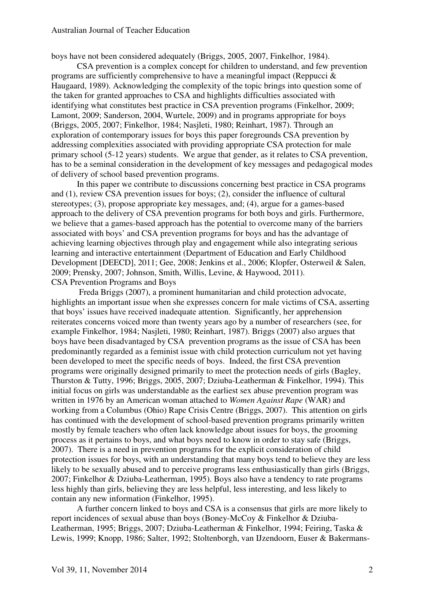boys have not been considered adequately (Briggs, 2005, 2007, Finkelhor, 1984).

 CSA prevention is a complex concept for children to understand, and few prevention programs are sufficiently comprehensive to have a meaningful impact (Reppucci & Haugaard, 1989). Acknowledging the complexity of the topic brings into question some of the taken for granted approaches to CSA and highlights difficulties associated with identifying what constitutes best practice in CSA prevention programs (Finkelhor, 2009; Lamont, 2009; Sanderson, 2004, Wurtele, 2009) and in programs appropriate for boys (Briggs, 2005, 2007; Finkelhor, 1984; Nasjleti, 1980; Reinhart, 1987). Through an exploration of contemporary issues for boys this paper foregrounds CSA prevention by addressing complexities associated with providing appropriate CSA protection for male primary school (5-12 years) students. We argue that gender, as it relates to CSA prevention, has to be a seminal consideration in the development of key messages and pedagogical modes of delivery of school based prevention programs.

 In this paper we contribute to discussions concerning best practice in CSA programs and (1), review CSA prevention issues for boys; (2), consider the influence of cultural stereotypes; (3), propose appropriate key messages, and; (4), argue for a games-based approach to the delivery of CSA prevention programs for both boys and girls. Furthermore, we believe that a games-based approach has the potential to overcome many of the barriers associated with boys' and CSA prevention programs for boys and has the advantage of achieving learning objectives through play and engagement while also integrating serious learning and interactive entertainment (Department of Education and Early Childhood Development [DEECD], 2011; Gee, 2008; Jenkins et al., 2006; Klopfer, Osterweil & Salen, 2009; Prensky, 2007; Johnson, Smith, Willis, Levine, & Haywood, 2011). CSA Prevention Programs and Boys

 Freda Briggs (2007), a prominent humanitarian and child protection advocate, highlights an important issue when she expresses concern for male victims of CSA, asserting that boys' issues have received inadequate attention. Significantly, her apprehension reiterates concerns voiced more than twenty years ago by a number of researchers (see, for example Finkelhor, 1984; Nasjleti, 1980; Reinhart, 1987). Briggs (2007) also argues that boys have been disadvantaged by CSA prevention programs as the issue of CSA has been predominantly regarded as a feminist issue with child protection curriculum not yet having been developed to meet the specific needs of boys. Indeed, the first CSA prevention programs were originally designed primarily to meet the protection needs of girls (Bagley, Thurston & Tutty, 1996; Briggs, 2005, 2007; Dziuba-Leatherman & Finkelhor, 1994). This initial focus on girls was understandable as the earliest sex abuse prevention program was written in 1976 by an American woman attached to *Women Against Rape* (WAR) and working from a Columbus (Ohio) Rape Crisis Centre (Briggs, 2007). This attention on girls has continued with the development of school-based prevention programs primarily written mostly by female teachers who often lack knowledge about issues for boys, the grooming process as it pertains to boys, and what boys need to know in order to stay safe (Briggs, 2007). There is a need in prevention programs for the explicit consideration of child protection issues for boys, with an understanding that many boys tend to believe they are less likely to be sexually abused and to perceive programs less enthusiastically than girls (Briggs, 2007; Finkelhor & Dziuba-Leatherman, 1995). Boys also have a tendency to rate programs less highly than girls, believing they are less helpful, less interesting, and less likely to contain any new information (Finkelhor, 1995).

A further concern linked to boys and CSA is a consensus that girls are more likely to report incidences of sexual abuse than boys (Boney-McCoy & Finkelhor & Dziuba-Leatherman, 1995; Briggs, 2007; Dziuba-Leatherman & Finkelhor, 1994; Feiring, Taska & Lewis, 1999; Knopp, 1986; Salter, 1992; Stoltenborgh, van IJzendoorn, Euser & Bakermans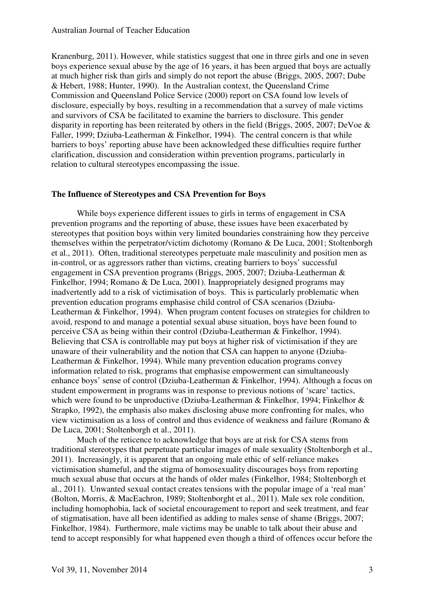Kranenburg, 2011). However, while statistics suggest that one in three girls and one in seven boys experience sexual abuse by the age of 16 years, it has been argued that boys are actually at much higher risk than girls and simply do not report the abuse (Briggs, 2005, 2007; Dube & Hebert, 1988; Hunter, 1990). In the Australian context, the Queensland Crime Commission and Queensland Police Service (2000) report on CSA found low levels of disclosure, especially by boys, resulting in a recommendation that a survey of male victims and survivors of CSA be facilitated to examine the barriers to disclosure. This gender disparity in reporting has been reiterated by others in the field (Briggs, 2005, 2007; DeVoe & Faller, 1999; Dziuba-Leatherman & Finkelhor, 1994). The central concern is that while barriers to boys' reporting abuse have been acknowledged these difficulties require further clarification, discussion and consideration within prevention programs, particularly in relation to cultural stereotypes encompassing the issue.

### **The Influence of Stereotypes and CSA Prevention for Boys**

While boys experience different issues to girls in terms of engagement in CSA prevention programs and the reporting of abuse, these issues have been exacerbated by stereotypes that position boys within very limited boundaries constraining how they perceive themselves within the perpetrator/victim dichotomy (Romano & De Luca, 2001; Stoltenborgh et al., 2011). Often, traditional stereotypes perpetuate male masculinity and position men as in-control, or as aggressors rather than victims, creating barriers to boys' successful engagement in CSA prevention programs (Briggs, 2005, 2007; Dziuba-Leatherman & Finkelhor, 1994; Romano & De Luca, 2001). Inappropriately designed programs may inadvertently add to a risk of victimisation of boys. This is particularly problematic when prevention education programs emphasise child control of CSA scenarios (Dziuba-Leatherman & Finkelhor, 1994). When program content focuses on strategies for children to avoid, respond to and manage a potential sexual abuse situation, boys have been found to perceive CSA as being within their control (Dziuba-Leatherman & Finkelhor, 1994). Believing that CSA is controllable may put boys at higher risk of victimisation if they are unaware of their vulnerability and the notion that CSA can happen to anyone (Dziuba-Leatherman & Finkelhor, 1994). While many prevention education programs convey information related to risk, programs that emphasise empowerment can simultaneously enhance boys' sense of control (Dziuba-Leatherman & Finkelhor, 1994). Although a focus on student empowerment in programs was in response to previous notions of 'scare' tactics, which were found to be unproductive (Dziuba-Leatherman & Finkelhor, 1994; Finkelhor & Strapko, 1992), the emphasis also makes disclosing abuse more confronting for males, who view victimisation as a loss of control and thus evidence of weakness and failure (Romano & De Luca, 2001; Stoltenborgh et al., 2011).

Much of the reticence to acknowledge that boys are at risk for CSA stems from traditional stereotypes that perpetuate particular images of male sexuality (Stoltenborgh et al., 2011). Increasingly, it is apparent that an ongoing male ethic of self-reliance makes victimisation shameful, and the stigma of homosexuality discourages boys from reporting much sexual abuse that occurs at the hands of older males (Finkelhor, 1984; Stoltenborgh et al., 2011). Unwanted sexual contact creates tensions with the popular image of a 'real man' (Bolton, Morris, & MacEachron, 1989; Stoltenborght et al., 2011). Male sex role condition, including homophobia, lack of societal encouragement to report and seek treatment, and fear of stigmatisation, have all been identified as adding to males sense of shame (Briggs, 2007; Finkelhor, 1984). Furthermore, male victims may be unable to talk about their abuse and tend to accept responsibly for what happened even though a third of offences occur before the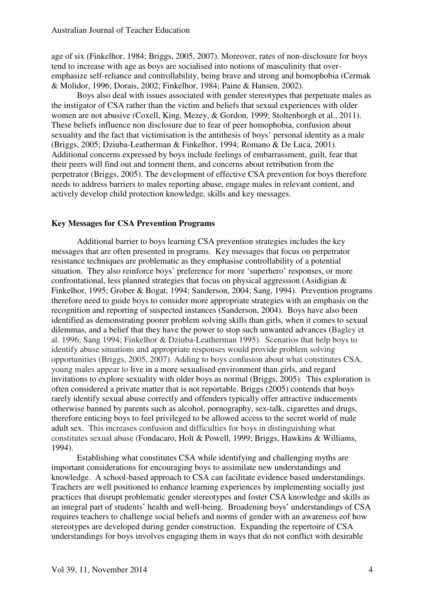age of six (Finkelhor, 1984; Briggs, 2005, 2007). Moreover, rates of non-disclosure for boys tend to increase with age as boys are socialised into notions of masculinity that overemphasize self-reliance and controllability, being brave and strong and homophobia (Cermak & Molidor, 1996; Dorais, 2002; Finkelhor, 1984; Paine & Hansen, 2002).

Boys also deal with issues associated with gender stereotypes that perpetuate males as the instigator of CSA rather than the victim and beliefs that sexual experiences with older women are not abusive (Coxell, King, Mezey, & Gordon, 1999; Stoltenborgh et al., 2011). These beliefs influence non disclosure due to fear of peer homophobia, confusion about sexuality and the fact that victimisation is the antithesis of boys' personal identity as a male (Briggs, 2005; Dziuba-Leatherman & Finkelhor, 1994; Romano & De Luca, 2001). Additional concerns expressed by boys include feelings of embarrassment, guilt, fear that their peers will find out and torment them, and concerns about retribution from the perpetrator (Briggs, 2005). The development of effective CSA prevention for boys therefore needs to address barriers to males reporting abuse, engage males in relevant content, and actively develop child protection knowledge, skills and key messages.

### **Key Messages for CSA Prevention Programs**

Additional barrier to boys learning CSA prevention strategies includes the key messages that are often presented in programs. Key messages that focus on perpetrator resistance techniques are problematic as they emphasise controllability of a potential situation. They also reinforce boys' preference for more 'superhero' responses, or more confrontational, less planned strategies that focus on physical aggression (Asidigian & Finkelhor, 1995; Grober & Bogat, 1994; Sanderson, 2004; Sang, 1994). Prevention programs therefore need to guide boys to consider more appropriate strategies with an emphasis on the recognition and reporting of suspected instances (Sanderson, 2004). Boys have also been identified as demonstrating poorer problem solving skills than girls, when it comes to sexual dilemmas, and a belief that they have the power to stop such unwanted advances (Bagley et al. 1996; Sang 1994; Finkelhor & Dziuba-Leatherman 1995). Scenarios that help boys to identify abuse situations and appropriate responses would provide problem solving opportunities (Briggs, 2005, 2007). Adding to boys confusion about what constitutes CSA, young males appear to live in a more sexualised environment than girls, and regard invitations to explore sexuality with older boys as normal (Briggs, 2005). This exploration is often considered a private matter that is not reportable. Briggs (2005) contends that boys rarely identify sexual abuse correctly and offenders typically offer attractive inducements otherwise banned by parents such as alcohol, pornography, sex-talk, cigarettes and drugs, therefore enticing boys to feel privileged to be allowed access to the secret world of male adult sex. This increases confusion and difficulties for boys in distinguishing what constitutes sexual abuse (Fondacaro, Holt & Powell, 1999; Briggs, Hawkins & Williams, 1994).

Establishing what constitutes CSA while identifying and challenging myths are important considerations for encouraging boys to assimilate new understandings and knowledge. A school-based approach to CSA can facilitate evidence based understandings. Teachers are well positioned to enhance learning experiences by implementing socially just practices that disrupt problematic gender stereotypes and foster CSA knowledge and skills as an integral part of students' health and well-being. Broadening boys' understandings of CSA requires teachers to challenge social beliefs and norms of gender with an awareness eof how stereotypes are developed during gender construction. Expanding the repertoire of CSA understandings for boys involves engaging them in ways that do not conflict with desirable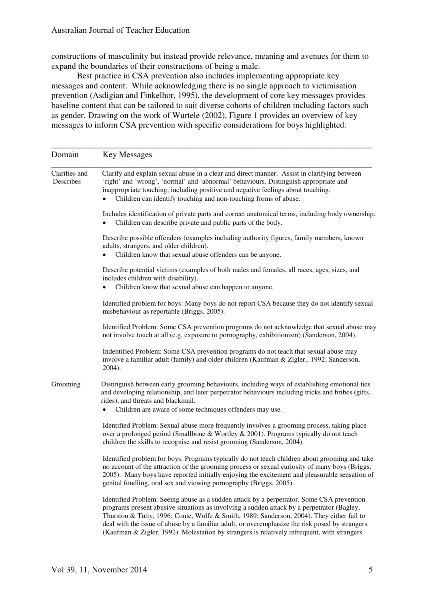constructions of masculinity but instead provide relevance, meaning and avenues for them to expand the boundaries of their constructions of being a male.

Best practice in CSA prevention also includes implementing appropriate key messages and content. While acknowledging there is no single approach to victimisation prevention (Asdigian and Finkelhor, 1995), the development of core key messages provides baseline content that can be tailored to suit diverse cohorts of children including factors such as gender. Drawing on the work of Wurtele (2002), Figure 1 provides an overview of key messages to inform CSA prevention with specific considerations for boys highlighted.

| Domain                     | <b>Key Messages</b>                                                                                                                                                                                                                                                                                                                                                                                                                                                                   |
|----------------------------|---------------------------------------------------------------------------------------------------------------------------------------------------------------------------------------------------------------------------------------------------------------------------------------------------------------------------------------------------------------------------------------------------------------------------------------------------------------------------------------|
| Clarifies and<br>Describes | Clarify and explain sexual abuse in a clear and direct manner. Assist in clarifying between<br>'right' and 'wrong', 'normal' and 'abnormal' behaviours. Distinguish appropriate and<br>inappropriate touching, including positive and negative feelings about touching.<br>Children can identify touching and non-touching forms of abuse.                                                                                                                                            |
|                            | Includes identification of private parts and correct anatomical terms, including body ownership.<br>Children can describe private and public parts of the body.                                                                                                                                                                                                                                                                                                                       |
|                            | Describe possible offenders (examples including authority figures, family members, known<br>adults, strangers, and older children).<br>Children know that sexual abuse offenders can be anyone.<br>$\bullet$                                                                                                                                                                                                                                                                          |
|                            | Describe potential victims (examples of both males and females, all races, ages, sizes, and<br>includes children with disability).<br>Children know that sexual abuse can happen to anyone.                                                                                                                                                                                                                                                                                           |
|                            | Identified problem for boys: Many boys do not report CSA because they do not identify sexual<br>misbehaviour as reportable (Briggs, 2005).                                                                                                                                                                                                                                                                                                                                            |
|                            | Identified Problem: Some CSA prevention programs do not acknowledge that sexual abuse may<br>not involve touch at all (e.g. exposure to pornography, exhibitionism) (Sanderson, 2004).                                                                                                                                                                                                                                                                                                |
|                            | Indentified Problem: Some CSA prevention programs do not teach that sexual abuse may<br>involve a familiar adult (family) and older children (Kaufman & Zigler,, 1992; Sanderson,<br>2004).                                                                                                                                                                                                                                                                                           |
| Grooming                   | Distinguish between early grooming behaviours, including ways of establishing emotional ties<br>and developing relationship, and later perpetrator behaviours including tricks and bribes (gifts,<br>rides), and threats and blackmail.<br>Children are aware of some techniques offenders may use.<br>$\bullet$                                                                                                                                                                      |
|                            | Identified Problem: Sexual abuse more frequently involves a grooming process, taking place<br>over a prolonged period (Smallbone & Wortley & 2001). Programs typically do not teach<br>children the skills to recognise and resist grooming (Sanderson, 2004).                                                                                                                                                                                                                        |
|                            | Identified problem for boys: Programs typically do not teach children about grooming and take<br>no account of the attraction of the grooming process or sexual curiosity of many boys (Briggs,<br>2005). Many boys have reported initially enjoying the excitement and pleasurable sensation of<br>genital fondling, oral sex and viewing pornography (Briggs, 2005).                                                                                                                |
|                            | Identified Problem: Seeing abuse as a sudden attack by a perpetrator. Some CSA prevention<br>programs present abusive situations as involving a sudden attack by a perpetrator (Bagley,<br>Thurston & Tutty, 1996; Conte, Wolfe & Smith, 1989; Sanderson, 2004). They either fail to<br>deal with the issue of abuse by a familiar adult, or overemphasize the risk posed by strangers<br>(Kaufman & Zigler, 1992). Molestation by strangers is relatively infrequent, with strangers |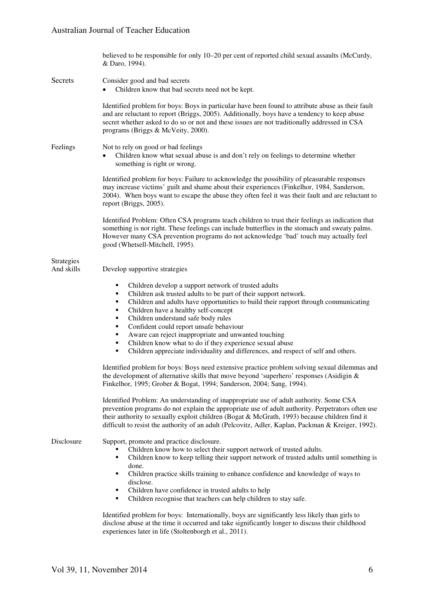### Australian Journal of Teacher Education

|                                 | believed to be responsible for only 10–20 per cent of reported child sexual assaults (McCurdy,<br>& Daro, 1994).                                                                                                                                                                                                                                                                                                                                                                                                                                                                                                                                                           |
|---------------------------------|----------------------------------------------------------------------------------------------------------------------------------------------------------------------------------------------------------------------------------------------------------------------------------------------------------------------------------------------------------------------------------------------------------------------------------------------------------------------------------------------------------------------------------------------------------------------------------------------------------------------------------------------------------------------------|
| Secrets                         | Consider good and bad secrets<br>Children know that bad secrets need not be kept.                                                                                                                                                                                                                                                                                                                                                                                                                                                                                                                                                                                          |
|                                 | Identified problem for boys: Boys in particular have been found to attribute abuse as their fault<br>and are reluctant to report (Briggs, 2005). Additionally, boys have a tendency to keep abuse<br>secret whether asked to do so or not and these issues are not traditionally addressed in CSA<br>programs (Briggs & McVeity, 2000).                                                                                                                                                                                                                                                                                                                                    |
| Feelings                        | Not to rely on good or bad feelings<br>Children know what sexual abuse is and don't rely on feelings to determine whether<br>something is right or wrong.                                                                                                                                                                                                                                                                                                                                                                                                                                                                                                                  |
|                                 | Identified problem for boys: Failure to acknowledge the possibility of pleasurable responses<br>may increase victims' guilt and shame about their experiences (Finkelhor, 1984, Sanderson,<br>2004). When boys want to escape the abuse they often feel it was their fault and are reluctant to<br>report (Briggs, 2005).                                                                                                                                                                                                                                                                                                                                                  |
|                                 | Identified Problem: Often CSA programs teach children to trust their feelings as indication that<br>something is not right. These feelings can include butterflies in the stomach and sweaty palms.<br>However many CSA prevention programs do not acknowledge 'bad' touch may actually feel<br>good (Whetsell-Mitchell, 1995).                                                                                                                                                                                                                                                                                                                                            |
| <b>Strategies</b><br>And skills | Develop supportive strategies                                                                                                                                                                                                                                                                                                                                                                                                                                                                                                                                                                                                                                              |
|                                 | Children develop a support network of trusted adults<br>٠<br>Children ask trusted adults to be part of their support network.<br>п<br>Children and adults have opportunities to build their rapport through communicating<br>٠<br>Children have a healthy self-concept<br>٠<br>Children understand safe body rules<br>٠<br>Confident could report unsafe behaviour<br>٠<br>Aware can reject inappropriate and unwanted touching<br>٠<br>Children know what to do if they experience sexual abuse<br>٠<br>Children appreciate individuality and differences, and respect of self and others.<br>٠                                                                           |
|                                 | Identified problem for boys: Boys need extensive practice problem solving sexual dilemmas and<br>the development of alternative skills that move beyond 'superhero' responses (Asidigin $\&$<br>Finkelhor, 1995; Grober & Bogat, 1994; Sanderson, 2004; Sang, 1994).                                                                                                                                                                                                                                                                                                                                                                                                       |
|                                 | Identified Problem: An understanding of inappropriate use of adult authority. Some CSA<br>prevention programs do not explain the appropriate use of adult authority. Perpetrators often use<br>their authority to sexually exploit children (Bogat & McGrath, 1993) because children find it<br>difficult to resist the authority of an adult (Pelcovitz, Adler, Kaplan, Packman & Kreiger, 1992).                                                                                                                                                                                                                                                                         |
| Disclosure                      | Support, promote and practice disclosure.<br>Children know how to select their support network of trusted adults.<br>Children know to keep telling their support network of trusted adults until something is<br>٠<br>done.<br>Children practice skills training to enhance confidence and knowledge of ways to<br>٠<br>disclose.<br>Children have confidence in trusted adults to help<br>٠<br>Children recognise that teachers can help children to stay safe.<br>٠<br>Identified problem for boys: Internationally, boys are significantly less likely than girls to<br>disclose abuse at the time it occurred and take significantly longer to discuss their childhood |

experiences later in life (Stoltenborgh et al., 2011).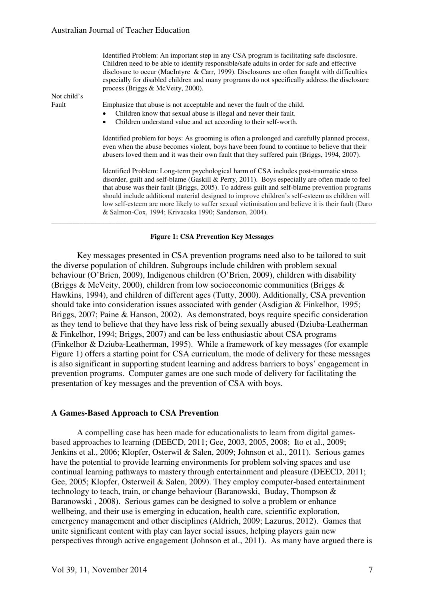| Not child's | Identified Problem: An important step in any CSA program is facilitating safe disclosure.<br>Children need to be able to identify responsible/safe adults in order for safe and effective<br>disclosure to occur (MacIntyre & Carr, 1999). Disclosures are often fraught with difficulties<br>especially for disabled children and many programs do not specifically address the disclosure<br>process (Briggs & McVeity, 2000).                                                                                                                            |
|-------------|-------------------------------------------------------------------------------------------------------------------------------------------------------------------------------------------------------------------------------------------------------------------------------------------------------------------------------------------------------------------------------------------------------------------------------------------------------------------------------------------------------------------------------------------------------------|
| Fault       | Emphasize that abuse is not acceptable and never the fault of the child.                                                                                                                                                                                                                                                                                                                                                                                                                                                                                    |
|             | Children know that sexual abuse is illegal and never their fault.<br>٠                                                                                                                                                                                                                                                                                                                                                                                                                                                                                      |
|             | Children understand value and act according to their self-worth.<br>٠                                                                                                                                                                                                                                                                                                                                                                                                                                                                                       |
|             |                                                                                                                                                                                                                                                                                                                                                                                                                                                                                                                                                             |
|             | Identified problem for boys: As grooming is often a prolonged and carefully planned process,<br>even when the abuse becomes violent, boys have been found to continue to believe that their<br>abusers loved them and it was their own fault that they suffered pain (Briggs, 1994, 2007).                                                                                                                                                                                                                                                                  |
|             | Identified Problem: Long-term psychological harm of CSA includes post-traumatic stress<br>disorder, guilt and self-blame (Gaskill & Perry, 2011). Boys especially are often made to feel<br>that abuse was their fault (Briggs, 2005). To address guilt and self-blame prevention programs<br>should include additional material designed to improve children's self-esteem as children will<br>low self-esteem are more likely to suffer sexual victimisation and believe it is their fault (Daro<br>& Salmon-Cox, 1994; Krivacska 1990; Sanderson, 2004). |
|             |                                                                                                                                                                                                                                                                                                                                                                                                                                                                                                                                                             |

#### **Figure 1: CSA Prevention Key Messages**

Key messages presented in CSA prevention programs need also to be tailored to suit the diverse population of children. Subgroups include children with problem sexual behaviour (O'Brien, 2009), Indigenous children (O'Brien, 2009), children with disability (Briggs & McVeity, 2000), children from low socioeconomic communities (Briggs & Hawkins, 1994), and children of different ages (Tutty, 2000). Additionally, CSA prevention should take into consideration issues associated with gender (Asdigian & Finkelhor, 1995; Briggs, 2007; Paine & Hanson, 2002). As demonstrated, boys require specific consideration as they tend to believe that they have less risk of being sexually abused (Dziuba-Leatherman & Finkelhor, 1994; Briggs, 2007) and can be less enthusiastic about CSA programs (Finkelhor & Dziuba-Leatherman, 1995). While a framework of key messages (for example Figure 1) offers a starting point for CSA curriculum, the mode of delivery for these messages is also significant in supporting student learning and address barriers to boys' engagement in prevention programs. Computer games are one such mode of delivery for facilitating the presentation of key messages and the prevention of CSA with boys.

#### **A Games-Based Approach to CSA Prevention**

A compelling case has been made for educationalists to learn from digital gamesbased approaches to learning (DEECD, 2011; Gee, 2003, 2005, 2008; Ito et al., 2009; Jenkins et al., 2006; Klopfer, Osterwil & Salen, 2009; Johnson et al., 2011). Serious games have the potential to provide learning environments for problem solving spaces and use continual learning pathways to mastery through entertainment and pleasure (DEECD, 2011; Gee, 2005; Klopfer, Osterweil & Salen, 2009). They employ computer-based entertainment technology to teach, train, or change behaviour (Baranowski, Buday, Thompson & Baranowski , 2008). Serious games can be designed to solve a problem or enhance wellbeing, and their use is emerging in education, health care, scientific exploration, emergency management and other disciplines (Aldrich, 2009; Lazurus, 2012). Games that unite significant content with play can layer social issues, helping players gain new perspectives through active engagement (Johnson et al., 2011). As many have argued there is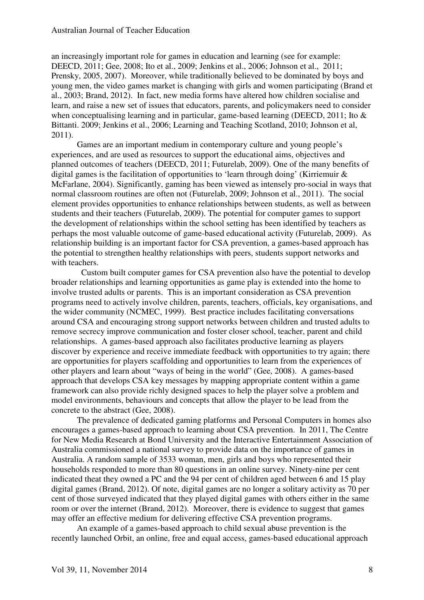an increasingly important role for games in education and learning (see for example: DEECD, 2011; Gee, 2008; Ito et al., 2009; Jenkins et al., 2006; Johnson et al., 2011; Prensky, 2005, 2007). Moreover, while traditionally believed to be dominated by boys and young men, the video games market is changing with girls and women participating (Brand et al., 2003; Brand, 2012). In fact, new media forms have altered how children socialise and learn, and raise a new set of issues that educators, parents, and policymakers need to consider when conceptualising learning and in particular, game-based learning (DEECD, 2011; Ito & Bittanti. 2009; Jenkins et al., 2006; Learning and Teaching Scotland, 2010; Johnson et al, 2011).

Games are an important medium in contemporary culture and young people's experiences, and are used as resources to support the educational aims, objectives and planned outcomes of teachers (DEECD, 2011; Futurelab, 2009). One of the many benefits of digital games is the facilitation of opportunities to 'learn through doing' (Kirriemuir & McFarlane, 2004). Significantly, gaming has been viewed as intensely pro-social in ways that normal classroom routines are often not (Futurelab, 2009; Johnson et al., 2011). The social element provides opportunities to enhance relationships between students, as well as between students and their teachers (Futurelab, 2009). The potential for computer games to support the development of relationships within the school setting has been identified by teachers as perhaps the most valuable outcome of game-based educational activity (Futurelab, 2009). As relationship building is an important factor for CSA prevention, a games-based approach has the potential to strengthen healthy relationships with peers, students support networks and with teachers.

 Custom built computer games for CSA prevention also have the potential to develop broader relationships and learning opportunities as game play is extended into the home to involve trusted adults or parents. This is an important consideration as CSA prevention programs need to actively involve children, parents, teachers, officials, key organisations, and the wider community (NCMEC, 1999). Best practice includes facilitating conversations around CSA and encouraging strong support networks between children and trusted adults to remove secrecy improve communication and foster closer school, teacher, parent and child relationships. A games-based approach also facilitates productive learning as players discover by experience and receive immediate feedback with opportunities to try again; there are opportunities for players scaffolding and opportunities to learn from the experiences of other players and learn about "ways of being in the world" (Gee, 2008). A games-based approach that develops CSA key messages by mapping appropriate content within a game framework can also provide richly designed spaces to help the player solve a problem and model environments, behaviours and concepts that allow the player to be lead from the concrete to the abstract (Gee, 2008).

The prevalence of dedicated gaming platforms and Personal Computers in homes also encourages a games-based approach to learning about CSA prevention. In 2011, The Centre for New Media Research at Bond University and the Interactive Entertainment Association of Australia commissioned a national survey to provide data on the importance of games in Australia. A random sample of 3533 woman, men, girls and boys who represented their households responded to more than 80 questions in an online survey. Ninety-nine per cent indicated theat they owned a PC and the 94 per cent of children aged between 6 and 15 play digital games (Brand, 2012). Of note, digital games are no longer a solitary activity as 70 per cent of those surveyed indicated that they played digital games with others either in the same room or over the internet (Brand, 2012). Moreover, there is evidence to suggest that games may offer an effective medium for delivering effective CSA prevention programs.

An example of a games-based approach to child sexual abuse prevention is the recently launched Orbit, an online, free and equal access, games-based educational approach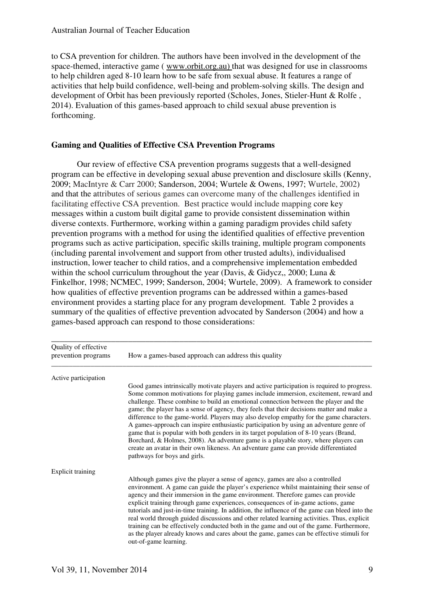to CSA prevention for children. The authors have been involved in the development of the space-themed, interactive game ( www.orbit.org.au) that was designed for use in classrooms to help children aged 8-10 learn how to be safe from sexual abuse. It features a range of activities that help build confidence, well-being and problem-solving skills. The design and development of Orbit has been previously reported (Scholes, Jones, Stieler-Hunt & Rolfe , 2014). Evaluation of this games-based approach to child sexual abuse prevention is forthcoming.

### **Gaming and Qualities of Effective CSA Prevention Programs**

Our review of effective CSA prevention programs suggests that a well-designed program can be effective in developing sexual abuse prevention and disclosure skills (Kenny, 2009; MacIntyre & Carr 2000; Sanderson, 2004; Wurtele & Owens, 1997; Wurtele, 2002) and that the attributes of serious games can overcome many of the challenges identified in facilitating effective CSA prevention. Best practice would include mapping core key messages within a custom built digital game to provide consistent dissemination within diverse contexts. Furthermore, working within a gaming paradigm provides child safety prevention programs with a method for using the identified qualities of effective prevention programs such as active participation, specific skills training, multiple program components (including parental involvement and support from other trusted adults), individualised instruction, lower teacher to child ratios, and a comprehensive implementation embedded within the school curriculum throughout the year (Davis, & Gidycz,, 2000; Luna & Finkelhor, 1998; NCMEC, 1999; Sanderson, 2004; Wurtele, 2009). A framework to consider how qualities of effective prevention programs can be addressed within a games-based environment provides a starting place for any program development. Table 2 provides a summary of the qualities of effective prevention advocated by Sanderson (2004) and how a games-based approach can respond to those considerations:

| Quality of effective<br>prevention programs | How a games-based approach can address this quality                                                                                                                                                                                                                                                                                                                                                                                                                                                                                                                                                                                                                                                                                                                                                                                                                  |
|---------------------------------------------|----------------------------------------------------------------------------------------------------------------------------------------------------------------------------------------------------------------------------------------------------------------------------------------------------------------------------------------------------------------------------------------------------------------------------------------------------------------------------------------------------------------------------------------------------------------------------------------------------------------------------------------------------------------------------------------------------------------------------------------------------------------------------------------------------------------------------------------------------------------------|
| Active participation                        |                                                                                                                                                                                                                                                                                                                                                                                                                                                                                                                                                                                                                                                                                                                                                                                                                                                                      |
|                                             | Good games intrinsically motivate players and active participation is required to progress.<br>Some common motivations for playing games include immersion, excitement, reward and<br>challenge. These combine to build an emotional connection between the player and the<br>game; the player has a sense of agency, they feels that their decisions matter and make a<br>difference to the game-world. Players may also develop empathy for the game characters.<br>A games-approach can inspire enthusiastic participation by using an adventure genre of<br>game that is popular with both genders in its target population of 8-10 years (Brand,<br>Borchard, & Holmes, 2008). An adventure game is a playable story, where players can<br>create an avatar in their own likeness. An adventure game can provide differentiated<br>pathways for boys and girls. |
| <b>Explicit training</b>                    |                                                                                                                                                                                                                                                                                                                                                                                                                                                                                                                                                                                                                                                                                                                                                                                                                                                                      |
|                                             | Although games give the player a sense of agency, games are also a controlled<br>environment. A game can guide the player's experience whilst maintaining their sense of<br>agency and their immersion in the game environment. Therefore games can provide<br>explicit training through game experiences, consequences of in-game actions, game<br>tutorials and just-in-time training. In addition, the influence of the game can bleed into the<br>real world through guided discussions and other related learning activities. Thus, explicit<br>training can be effectively conducted both in the game and out of the game. Furthermore,<br>as the player already knows and cares about the game, games can be effective stimuli for<br>out-of-game learning.                                                                                                   |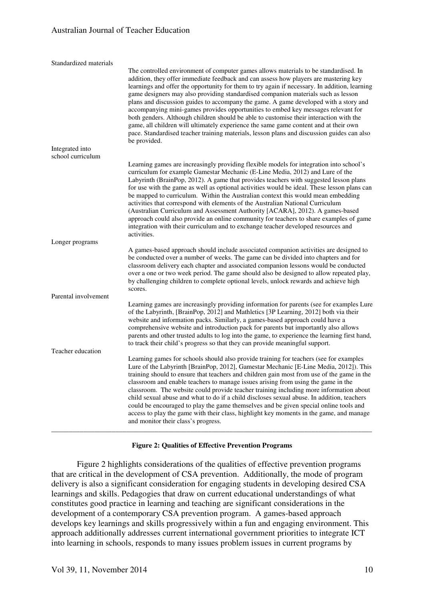| Standardized materials |                                                                                                                                                                                                                                                                                                                                                                                                                                                                                                                                                                                                                                                                                                                                                                                                                                                 |
|------------------------|-------------------------------------------------------------------------------------------------------------------------------------------------------------------------------------------------------------------------------------------------------------------------------------------------------------------------------------------------------------------------------------------------------------------------------------------------------------------------------------------------------------------------------------------------------------------------------------------------------------------------------------------------------------------------------------------------------------------------------------------------------------------------------------------------------------------------------------------------|
|                        | The controlled environment of computer games allows materials to be standardised. In<br>addition, they offer immediate feedback and can assess how players are mastering key<br>learnings and offer the opportunity for them to try again if necessary. In addition, learning<br>game designers may also providing standardised companion materials such as lesson<br>plans and discussion guides to accompany the game. A game developed with a story and<br>accompanying mini-games provides opportunities to embed key messages relevant for<br>both genders. Although children should be able to customise their interaction with the<br>game, all children will ultimately experience the same game content and at their own<br>pace. Standardised teacher training materials, lesson plans and discussion guides can also<br>be provided. |
| Integrated into        |                                                                                                                                                                                                                                                                                                                                                                                                                                                                                                                                                                                                                                                                                                                                                                                                                                                 |
| school curriculum      |                                                                                                                                                                                                                                                                                                                                                                                                                                                                                                                                                                                                                                                                                                                                                                                                                                                 |
|                        | Learning games are increasingly providing flexible models for integration into school's<br>curriculum for example Gamestar Mechanic (E-Line Media, 2012) and Lure of the<br>Labyrinth (BrainPop, 2012). A game that provides teachers with suggested lesson plans<br>for use with the game as well as optional activities would be ideal. These lesson plans can<br>be mapped to curriculum. Within the Australian context this would mean embedding<br>activities that correspond with elements of the Australian National Curriculum<br>(Australian Curriculum and Assessment Authority [ACARA], 2012). A games-based<br>approach could also provide an online community for teachers to share examples of game<br>integration with their curriculum and to exchange teacher developed resources and<br>activities.                           |
| Longer programs        |                                                                                                                                                                                                                                                                                                                                                                                                                                                                                                                                                                                                                                                                                                                                                                                                                                                 |
|                        | A games-based approach should include associated companion activities are designed to<br>be conducted over a number of weeks. The game can be divided into chapters and for<br>classroom delivery each chapter and associated companion lessons would be conducted<br>over a one or two week period. The game should also be designed to allow repeated play,<br>by challenging children to complete optional levels, unlock rewards and achieve high<br>scores.                                                                                                                                                                                                                                                                                                                                                                                |
| Parental involvement   |                                                                                                                                                                                                                                                                                                                                                                                                                                                                                                                                                                                                                                                                                                                                                                                                                                                 |
|                        | Learning games are increasingly providing information for parents (see for examples Lure<br>of the Labyrinth, [BrainPop, 2012] and Mathletics [3P Learning, 2012] both via their<br>website and information packs. Similarly, a games-based approach could have a<br>comprehensive website and introduction pack for parents but importantly also allows<br>parents and other trusted adults to log into the game, to experience the learning first hand,<br>to track their child's progress so that they can provide meaningful support.                                                                                                                                                                                                                                                                                                       |
| Teacher education      |                                                                                                                                                                                                                                                                                                                                                                                                                                                                                                                                                                                                                                                                                                                                                                                                                                                 |
|                        | Learning games for schools should also provide training for teachers (see for examples<br>Lure of the Labyrinth [BrainPop, 2012], Gamestar Mechanic [E-Line Media, 2012]). This<br>training should to ensure that teachers and children gain most from use of the game in the<br>classroom and enable teachers to manage issues arising from using the game in the<br>classroom. The website could provide teacher training including more information about<br>child sexual abuse and what to do if a child discloses sexual abuse. In addition, teachers<br>could be encouraged to play the game themselves and be given special online tools and<br>access to play the game with their class, highlight key moments in the game, and manage<br>and monitor their class's progress.                                                           |

### **Figure 2: Qualities of Effective Prevention Programs**

Figure 2 highlights considerations of the qualities of effective prevention programs that are critical in the development of CSA prevention. Additionally, the mode of program delivery is also a significant consideration for engaging students in developing desired CSA learnings and skills. Pedagogies that draw on current educational understandings of what constitutes good practice in learning and teaching are significant considerations in the development of a contemporary CSA prevention program. A games-based approach develops key learnings and skills progressively within a fun and engaging environment. This approach additionally addresses current international government priorities to integrate ICT into learning in schools, responds to many issues problem issues in current programs by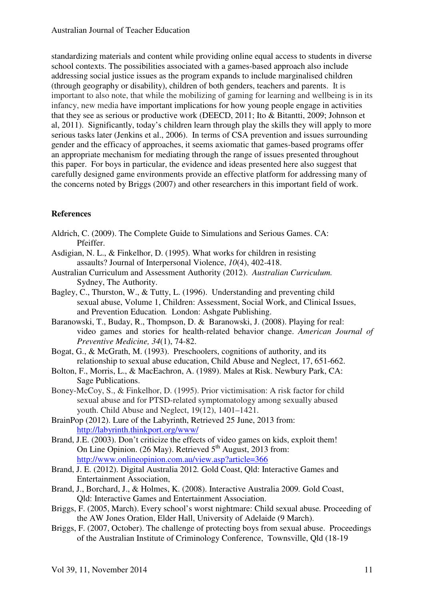standardizing materials and content while providing online equal access to students in diverse school contexts. The possibilities associated with a games-based approach also include addressing social justice issues as the program expands to include marginalised children (through geography or disability), children of both genders, teachers and parents. It is important to also note, that while the mobilizing of gaming for learning and wellbeing is in its infancy, new media have important implications for how young people engage in activities that they see as serious or productive work (DEECD, 2011; Ito & Bitantti, 2009; Johnson et al, 2011). Significantly, today's children learn through play the skills they will apply to more serious tasks later (Jenkins et al., 2006). In terms of CSA prevention and issues surrounding gender and the efficacy of approaches, it seems axiomatic that games-based programs offer an appropriate mechanism for mediating through the range of issues presented throughout this paper. For boys in particular, the evidence and ideas presented here also suggest that carefully designed game environments provide an effective platform for addressing many of the concerns noted by Briggs (2007) and other researchers in this important field of work.

### **References**

- Aldrich, C. (2009). The Complete Guide to Simulations and Serious Games. CA: Pfeiffer.
- Asdigian, N. L., & Finkelhor, D. (1995). What works for children in resisting assaults? Journal of Interpersonal Violence, *10*(4), 402-418.
- Australian Curriculum and Assessment Authority (2012). *Australian Curriculum.*  Sydney, The Authority.
- Bagley, C., Thurston, W., & Tutty, L. (1996). Understanding and preventing child sexual abuse, Volume 1, Children: Assessment, Social Work, and Clinical Issues, and Prevention Education*.* London: Ashgate Publishing.
- Baranowski, T., Buday, R., Thompson, D. & Baranowski, J. (2008). Playing for real: video games and stories for health-related behavior change. *American Journal of Preventive Medicine, 34*(1), 74-82.
- Bogat, G., & McGrath, M. (1993). Preschoolers, cognitions of authority, and its relationship to sexual abuse education, Child Abuse and Neglect, 17, 651-662.
- Bolton, F., Morris, L., & MacEachron, A. (1989). Males at Risk. Newbury Park, CA: Sage Publications.
- Boney-McCoy, S., & Finkelhor, D. (1995). Prior victimisation: A risk factor for child sexual abuse and for PTSD-related symptomatology among sexually abused youth. Child Abuse and Neglect, 19(12), 1401–1421.
- BrainPop (2012). Lure of the Labyrinth, Retrieved 25 June, 2013 from: http://labyrinth.thinkport.org/www/
- Brand, J.E. (2003). Don't criticize the effects of video games on kids, exploit them! On Line Opinion. (26 May). Retrieved  $5<sup>th</sup>$  August, 2013 from: http://www.onlineopinion.com.au/view.asp?article=366
- Brand, J. E. (2012). Digital Australia 2012*.* Gold Coast, Qld: Interactive Games and Entertainment Association,
- Brand, J., Borchard, J., & Holmes, K. (2008). Interactive Australia 2009*.* Gold Coast, Qld: Interactive Games and Entertainment Association.
- Briggs, F. (2005, March). Every school's worst nightmare: Child sexual abuse*.* Proceeding of the AW Jones Oration, Elder Hall, University of Adelaide (9 March).
- Briggs, F. (2007, October). The challenge of protecting boys from sexual abuse. Proceedings of the Australian Institute of Criminology Conference, Townsville, Qld (18-19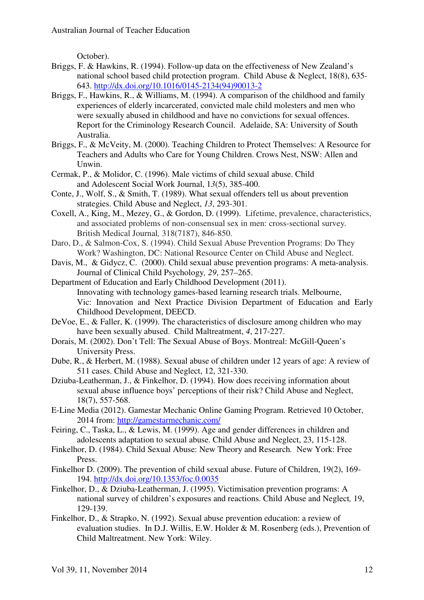October).

- Briggs, F. & Hawkins, R. (1994). Follow-up data on the effectiveness of New Zealand's national school based child protection program. Child Abuse & Neglect, 18(8), 635- 643. http://dx.doi.org/10.1016/0145-2134(94)90013-2
- Briggs, F., Hawkins, R., & Williams, M. (1994). A comparison of the childhood and family experiences of elderly incarcerated, convicted male child molesters and men who were sexually abused in childhood and have no convictions for sexual offences. Report for the Criminology Research Council. Adelaide, SA: University of South Australia.
- Briggs, F., & McVeity, M. (2000). Teaching Children to Protect Themselves: A Resource for Teachers and Adults who Care for Young Children. Crows Nest, NSW: Allen and Unwin.
- Cermak, P., & Molidor, C. (1996). Male victims of child sexual abuse. Child and Adolescent Social Work Journal, 1*3*(5), 385-400.
- Conte, J., Wolf, S., & Smith, T. (1989). What sexual offenders tell us about prevention strategies. Child Abuse and Neglect, *13*, 293-301.
- Coxell, A., King, M., Mezey, G., & Gordon, D. (1999). Lifetime, prevalence, characteristics, and associated problems of non-consensual sex in men: cross-sectional survey*.*  British Medical Journal*,* 318(7187), 846-850.
- Daro, D., & Salmon-Cox, S. (1994). Child Sexual Abuse Prevention Programs: Do They Work? Washington, DC: National Resource Center on Child Abuse and Neglect.
- Davis, M., & Gidycz, C. (2000). Child sexual abuse prevention programs: A meta-analysis. Journal of Clinical Child Psychology*, 29*, 257–265.
- Department of Education and Early Childhood Development (2011). Innovating with technology games-based learning research trials. Melbourne, Vic: Innovation and Next Practice Division Department of Education and Early Childhood Development, DEECD.
- DeVoe, E., & Faller, K. (1999). The characteristics of disclosure among children who may have been sexually abused. Child Maltreatment, *4*, 217-227.
- Dorais, M. (2002). Don't Tell: The Sexual Abuse of Boys. Montreal: McGill-Queen's University Press.
- Dube, R., & Herbert, M. (1988). Sexual abuse of children under 12 years of age: A review of 511 cases. Child Abuse and Neglect, 12, 321-330.
- Dziuba-Leatherman, J., & Finkelhor, D. (1994). How does receiving information about sexual abuse influence boys' perceptions of their risk? Child Abuse and Neglect, 18(7), 557-568.
- E-Line Media (2012). Gamestar Mechanic Online Gaming Program. Retrieved 10 October, 2014 from: http://gamestarmechanic.com/
- Feiring, C., Taska, L., & Lewis, M. (1999). Age and gender differences in children and adolescents adaptation to sexual abuse. Child Abuse and Neglect, 23, 115-128.
- Finkelhor, D. (1984). Child Sexual Abuse: New Theory and Research*.* New York: Free Press.
- Finkelhor D. (2009). The prevention of child sexual abuse. Future of Children, 19(2), 169- 194. http://dx.doi.org/10.1353/foc.0.0035
- Finkelhor, D., & Dziuba-Leatherman, J. (1995). Victimisation prevention programs: A national survey of children's exposures and reactions. Child Abuse and Neglect*,* 19, 129-139.
- Finkelhor, D., & Strapko, N. (1992). Sexual abuse prevention education: a review of evaluation studies. In D.J. Willis, E.W. Holder & M. Rosenberg (eds.), Prevention of Child Maltreatment. New York: Wiley.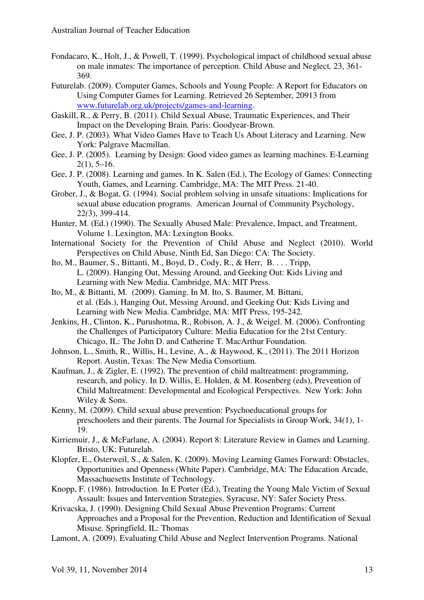- Fondacaro, K., Holt, J., & Powell, T. (1999). Psychological impact of childhood sexual abuse on male inmates: The importance of perception. Child Abuse and Neglect*,* 23, 361- 369.
- Futurelab. (2009). Computer Games, Schools and Young People: A Report for Educators on Using Computer Games for Learning. Retrieved 26 September, 20913 from www.futurelab.org.uk/projects/games-and-learning.
- Gaskill, R., & Perry, B. (2011). Child Sexual Abuse, Traumatic Experiences, and Their Impact on the Developing Brain*.* Paris: Goodyear-Brown.
- Gee, J. P. (2003). What Video Games Have to Teach Us About Literacy and Learning. New York: Palgrave Macmillan.
- Gee, J. P. (2005). Learning by Design: Good video games as learning machines. E-Learning  $2(1)$ , 5–16.
- Gee, J. P. (2008). Learning and games. In K. Salen (Ed.), The Ecology of Games: Connecting Youth, Games, and Learning. Cambridge, MA: The MIT Press. 21-40.
- Grober, J., & Bogat, G. (1994). Social problem solving in unsafe situations: Implications for sexual abuse education programs. American Journal of Community Psychology, 22*(*3), 399-414.
- Hunter, M. (Ed.) (1990). The Sexually Abused Male: Prevalence, Impact, and Treatment, Volume 1. Lexington, MA: Lexington Books.
- International Society for the Prevention of Child Abuse and Neglect (2010). World Perspectives on Child Abuse, Ninth Ed, San Diego: CA: The Society.
- Ito, M., Baumer, S., Bittanti, M., Boyd, D., Cody, R., & Herr, B. . . . Tripp, L. (2009). Hanging Out, Messing Around, and Geeking Out: Kids Living and Learning with New Media. Cambridge, MA: MIT Press.
- Ito, M., & Bittanti, M. (2009). Gaming. In M. Ito, S. Baumer, M. Bittani, et al. (Eds.), Hanging Out, Messing Around, and Geeking Out: Kids Living and Learning with New Media. Cambridge, MA: MIT Press, 195-242.
- Jenkins, H., Clinton, K., Purushotma, R., Robison, A. J., & Weigel. M. (2006). Confronting the Challenges of Participatory Culture: Media Education for the 21st Century. Chicago, IL: The John D. and Catherine T. MacArthur Foundation.
- Johnson, L., Smith, R., Willis, H., Levine, A., & Haywood, K., (2011). The 2011 Horizon Report. Austin, Texas: The New Media Consortium.
- Kaufman, J., & Zigler, E. (1992). The prevention of child maltreatment: programming, research, and policy. In D. Willis, E. Holden, & M. Rosenberg (eds), Prevention of Child Maltreatment: Developmental and Ecological Perspectives. New York: John Wiley & Sons.
- Kenny, M. (2009). Child sexual abuse prevention: Psychoeducational groups for preschoolers and their parents. The Journal for Specialists in Group Work, 34*(*1), 1- 19.
- Kirriemuir, J., & McFarlane, A. (2004). Report 8: Literature Review in Games and Learning. Bristo, UK: Futurelab.
- Klopfer, E., Osterweil, S., & Salen, K. (2009). Moving Learning Games Forward: Obstacles, Opportunities and Openness (White Paper). Cambridge, MA: The Education Arcade, Massachuesetts Institute of Technology.
- Knopp, F. (1986). Introduction. In E Porter (Ed.), Treating the Young Male Victim of Sexual Assault: Issues and Intervention Strategies. Syracuse, NY: Safer Society Press.
- Krivacska, J. (1990). Designing Child Sexual Abuse Prevention Programs: Current Approaches and a Proposal for the Prevention, Reduction and Identification of Sexual Misuse. Springfield, IL: Thomas
- Lamont, A. (2009). Evaluating Child Abuse and Neglect Intervention Programs. National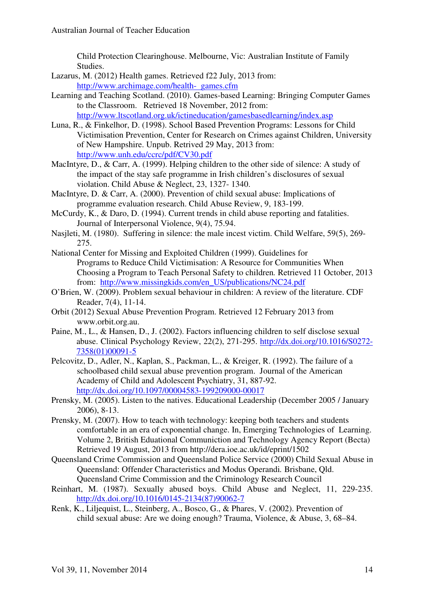Child Protection Clearinghouse. Melbourne, Vic: Australian Institute of Family Studies.

- Lazarus, M. (2012) Health games. Retrieved f22 July, 2013 from: http://www.archimage.com/health- games.cfm
- Learning and Teaching Scotland. (2010). Games-based Learning: Bringing Computer Games to the Classroom. Retrieved 18 November, 2012 from: http://www.ltscotland.org.uk/ictineducation/gamesbasedlearning/index.asp
- Luna, R., & Finkelhor, D. (1998). School Based Prevention Programs: Lessons for Child Victimisation Prevention, Center for Research on Crimes against Children, University of New Hampshire. Unpub. Retrived 29 May, 2013 from: http://www.unh.edu/ccrc/pdf/CV30.pdf
- MacIntyre, D., & Carr, A. (1999). Helping children to the other side of silence: A study of the impact of the stay safe programme in Irish children's disclosures of sexual violation. Child Abuse & Neglect, 23, 1327- 1340.
- MacIntyre, D. & Carr, A. (2000). Prevention of child sexual abuse: Implications of programme evaluation research. Child Abuse Review, 9, 183-199.
- McCurdy, K., & Daro, D. (1994). Current trends in child abuse reporting and fatalities. Journal of Interpersonal Violence, 9(4), 75.94.
- Nasjleti, M. (1980). Suffering in silence: the male incest victim. Child Welfare, 59(5), 269- 275.
- National Center for Missing and Exploited Children (1999). Guidelines for Programs to Reduce Child Victimisation: A Resource for Communities When Choosing a Program to Teach Personal Safety to children*.* Retrieved 11 October, 2013 from: http://www.missingkids.com/en\_US/publications/NC24.pdf
- O'Brien, W. (2009). Problem sexual behaviour in children: A review of the literature. CDF Reader, 7(4), 11-14.
- Orbit (2012) Sexual Abuse Prevention Program. Retrieved 12 February 2013 from www.orbit.org.au.
- Paine, M., L., & Hansen, D., J. (2002). Factors influencing children to self disclose sexual abuse. Clinical Psychology Review, 22(2), 271-295. http://dx.doi.org/10.1016/S0272- 7358(01)00091-5
- Pelcovitz, D., Adler, N., Kaplan, S., Packman, L., & Kreiger, R. (1992). The failure of a schoolbased child sexual abuse prevention program. Journal of the American Academy of Child and Adolescent Psychiatry, 31, 887-92. http://dx.doi.org/10.1097/00004583-199209000-00017
- Prensky, M. (2005). Listen to the natives. Educational Leadership (December 2005 / January 2006), 8-13.
- Prensky, M. (2007). How to teach with technology: keeping both teachers and students comfortable in an era of exponential change. In, Emerging Technologies of Learning. Volume 2, British Eduational Communiction and Technology Agency Report (Becta) Retrieved 19 August, 2013 from http://dera.ioe.ac.uk/id/eprint/1502
- Queensland Crime Commission and Queensland Police Service (2000) Child Sexual Abuse in Queensland: Offender Characteristics and Modus Operandi*.* Brisbane, Qld. Queensland Crime Commission and the Criminology Research Council
- Reinhart, M. (1987). Sexually abused boys. Child Abuse and Neglect, 11, 229-235. http://dx.doi.org/10.1016/0145-2134(87)90062-7
- Renk, K., Liljequist, L., Steinberg, A., Bosco, G., & Phares, V. (2002). Prevention of child sexual abuse: Are we doing enough? Trauma, Violence, & Abuse, 3, 68–84.